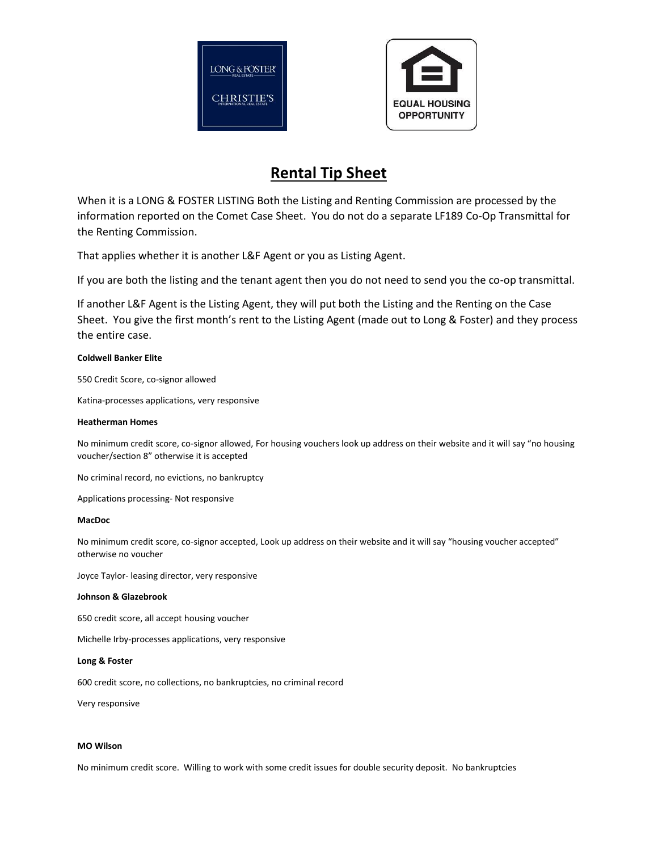



# **Rental Tip Sheet**

When it is a LONG & FOSTER LISTING Both the Listing and Renting Commission are processed by the information reported on the Comet Case Sheet. You do not do a separate LF189 Co-Op Transmittal for the Renting Commission.

That applies whether it is another L&F Agent or you as Listing Agent.

If you are both the listing and the tenant agent then you do not need to send you the co-op transmittal.

If another L&F Agent is the Listing Agent, they will put both the Listing and the Renting on the Case Sheet. You give the first month's rent to the Listing Agent (made out to Long & Foster) and they process the entire case.

## **Coldwell Banker Elite**

550 Credit Score, co-signor allowed

Katina-processes applications, very responsive

#### **Heatherman Homes**

No minimum credit score, co-signor allowed, For housing vouchers look up address on their website and it will say "no housing voucher/section 8" otherwise it is accepted

No criminal record, no evictions, no bankruptcy

Applications processing- Not responsive

## **MacDoc**

No minimum credit score, co-signor accepted, Look up address on their website and it will say "housing voucher accepted" otherwise no voucher

Joyce Taylor- leasing director, very responsive

#### **Johnson & Glazebrook**

650 credit score, all accept housing voucher

Michelle Irby-processes applications, very responsive

**Long & Foster**

600 credit score, no collections, no bankruptcies, no criminal record

Very responsive

#### **MO Wilson**

No minimum credit score. Willing to work with some credit issues for double security deposit. No bankruptcies